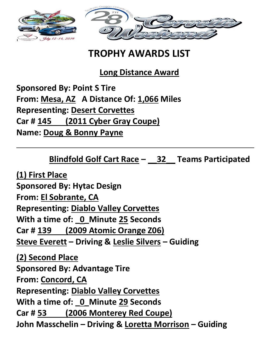

# **TROPHY AWARDS LIST**

**Long Distance Award**

**Sponsored By: Point S Tire From: Mesa, AZ A Distance Of: 1,066 Miles Representing: Desert Corvettes Car # 145 (2011 Cyber Gray Coupe) Name: Doug & Bonny Payne**

**Blindfold Golf Cart Race – \_\_32\_\_ Teams Participated**

**(1) First Place Sponsored By: Hytac Design From: El Sobrante, CA Representing: Diablo Valley Corvettes With a time of: \_0\_Minute 25 Seconds Car # 139 (2009 Atomic Orange Z06) Steve Everett – Driving & Leslie Silvers – Guiding**

**(2) Second Place Sponsored By: Advantage Tire From: Concord, CA Representing: Diablo Valley Corvettes With a time of: \_0\_Minute 29 Seconds Car # 53 (2006 Monterey Red Coupe) John Masschelin – Driving & Loretta Morrison – Guiding**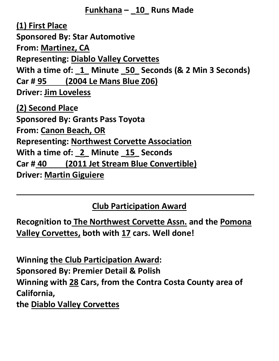#### **Funkhana – \_10\_ Runs Made**

**(1) First Place Sponsored By: Star Automotive From: Martinez, CA Representing: Diablo Valley Corvettes With a time of: \_1\_ Minute \_50\_ Seconds (& 2 Min 3 Seconds) Car # 95 (2004 Le Mans Blue Z06) Driver: Jim Loveless (2) Second Place Sponsored By: Grants Pass Toyota From: Canon Beach, OR Representing: Northwest Corvette Association With a time of: \_2\_ Minute \_15\_ Seconds Car # 40 (2011 Jet Stream Blue Convertible) Driver: Martin Giguiere**

### **Club Participation Award**

**Recognition to The Northwest Corvette Assn. and the Pomona Valley Corvettes, both with 17 cars. Well done!**

**Winning the Club Participation Award: Sponsored By: Premier Detail & Polish Winning with 28 Cars, from the Contra Costa County area of California, the Diablo Valley Corvettes**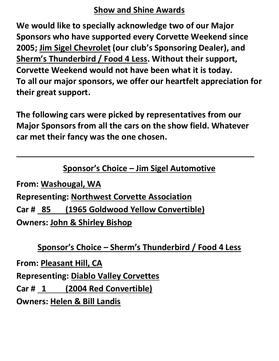### **Show and Shine Awards**

**We would like to specially acknowledge two of our Major Sponsors who have supported every Corvette Weekend since 2005; Jim Sigel Chevrolet (our club's Sponsoring Dealer), and Sherm's Thunderbird / Food 4 Less. Without their support, Corvette Weekend would not have been what it is today. To all our major sponsors, we offer our heartfelt appreciation for their great support.**

**The following cars were picked by representatives from our Major Sponsors from all the cars on the show field. Whatever car met their fancy was the one chosen.**

## **Sponsor's Choice – Jim Sigel Automotive**

**From: Washougal, WA Representing: Northwest Corvette Association Car # 85 (1965 Goldwood Yellow Convertible) Owners: John & Shirley Bishop**

## **Sponsor's Choice – Sherm's Thunderbird / Food 4 Less**

**From: Pleasant Hill, CA Representing: Diablo Valley Corvettes Car # 1 (2004 Red Convertible) Owners: Helen & Bill Landis**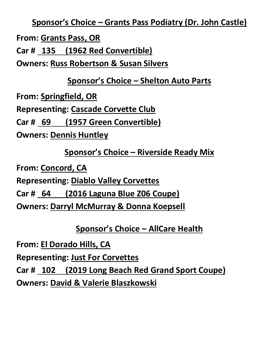**Sponsor's Choice – Grants Pass Podiatry (Dr. John Castle)**

**From: Grants Pass, OR**

**Car # 135 (1962 Red Convertible)**

**Owners: Russ Robertson & Susan Silvers**

## **Sponsor's Choice – Shelton Auto Parts**

**From: Springfield, OR**

**Representing: Cascade Corvette Club**

**Car # 69 (1957 Green Convertible)**

**Owners: Dennis Huntley**

## **Sponsor's Choice – Riverside Ready Mix**

**From: Concord, CA**

**Representing: Diablo Valley Corvettes**

**Car # 64 (2016 Laguna Blue Z06 Coupe)**

**Owners: Darryl McMurray & Donna Koepsell**

**Sponsor's Choice – AllCare Health**

**From: El Dorado Hills, CA**

**Representing: Just For Corvettes**

**Car # 102 (2019 Long Beach Red Grand Sport Coupe)**

**Owners: David & Valerie Blaszkowski**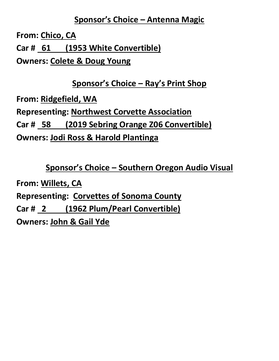### **Sponsor's Choice – Antenna Magic**

**From: Chico, CA Car # 61 (1953 White Convertible) Owners: Colete & Doug Young**

**Sponsor's Choice – Ray's Print Shop**

**From: Ridgefield, WA Representing: Northwest Corvette Association Car # 58 (2019 Sebring Orange Z06 Convertible) Owners: Jodi Ross & Harold Plantinga**

**Sponsor's Choice – Southern Oregon Audio Visual From: Willets, CA Representing: Corvettes of Sonoma County Car # 2 (1962 Plum/Pearl Convertible) Owners: John & Gail Yde**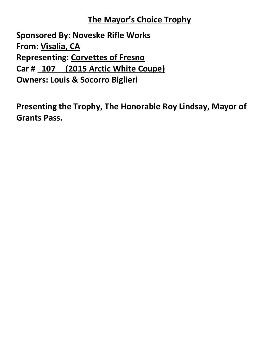## **The Mayor's Choice Trophy**

**Sponsored By: Noveske Rifle Works From: Visalia, CA Representing: Corvettes of Fresno Car # 107 (2015 Arctic White Coupe) Owners: Louis & Socorro Biglieri**

**Presenting the Trophy, The Honorable Roy Lindsay, Mayor of Grants Pass.**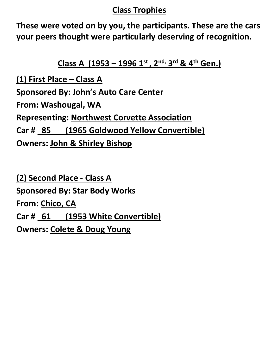### **Class Trophies**

**These were voted on by you, the participants. These are the cars your peers thought were particularly deserving of recognition.**

**Class A (1953 – 1996 1 st , 2 nd, 3 rd & 4th Gen.)**

**(1) First Place – Class A Sponsored By: John's Auto Care Center From: Washougal, WA Representing: Northwest Corvette Association Car # 85 (1965 Goldwood Yellow Convertible) Owners: John & Shirley Bishop**

**(2) Second Place - Class A Sponsored By: Star Body Works From: Chico, CA Car # 61 (1953 White Convertible) Owners: Colete & Doug Young**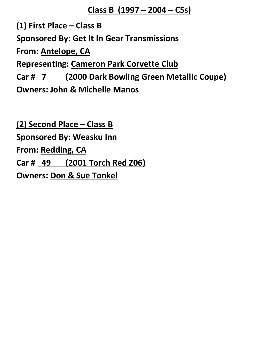#### **Class B (1997 – 2004 – C5s)**

**(1) First Place – Class B Sponsored By: Get It In Gear Transmissions From: Antelope, CA Representing: Cameron Park Corvette Club Car # 7 (2000 Dark Bowling Green Metallic Coupe) Owners: John & Michelle Manos**

**(2) Second Place – Class B Sponsored By: Weasku Inn From: Redding, CA Car # 49 (2001 Torch Red Z06) Owners: Don & Sue Tonkel**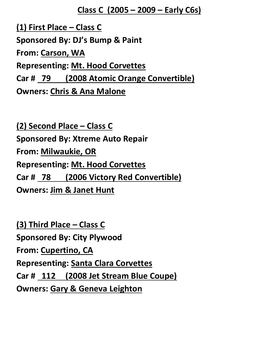#### **Class C (2005 – 2009 – Early C6s)**

**(1) First Place – Class C Sponsored By: DJ's Bump & Paint From: Carson, WA Representing: Mt. Hood Corvettes Car # 79 (2008 Atomic Orange Convertible) Owners: Chris & Ana Malone**

**(2) Second Place – Class C Sponsored By: Xtreme Auto Repair From: Milwaukie, OR Representing: Mt. Hood Corvettes Car # 78 (2006 Victory Red Convertible) Owners: Jim & Janet Hunt**

**(3) Third Place – Class C Sponsored By: City Plywood From: Cupertino, CA Representing: Santa Clara Corvettes Car # 112 (2008 Jet Stream Blue Coupe) Owners: Gary & Geneva Leighton**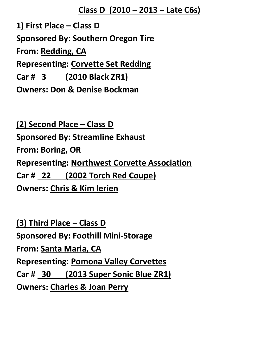#### **Class D (2010 – 2013 – Late C6s)**

**1) First Place – Class D Sponsored By: Southern Oregon Tire From: Redding, CA Representing: Corvette Set Redding Car # 3 (2010 Black ZR1) Owners: Don & Denise Bockman**

**(2) Second Place – Class D Sponsored By: Streamline Exhaust From: Boring, OR Representing: Northwest Corvette Association Car # 22 (2002 Torch Red Coupe) Owners: Chris & Kim Ierien**

**(3) Third Place – Class D Sponsored By: Foothill Mini-Storage From: Santa Maria, CA Representing: Pomona Valley Corvettes Car # 30 (2013 Super Sonic Blue ZR1) Owners: Charles & Joan Perry**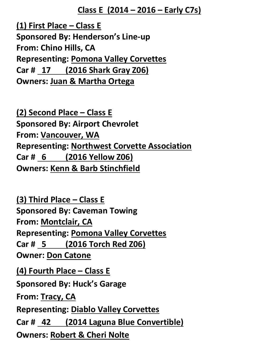#### **Class E (2014 – 2016 – Early C7s)**

**(1) First Place – Class E Sponsored By: Henderson's Line-up From: Chino Hills, CA Representing: Pomona Valley Corvettes Car # 17 (2016 Shark Gray Z06) Owners: Juan & Martha Ortega**

**(2) Second Place – Class E Sponsored By: Airport Chevrolet From: Vancouver, WA Representing: Northwest Corvette Association Car # 6 (2016 Yellow Z06) Owners: Kenn & Barb Stinchfield**

**(3) Third Place – Class E Sponsored By: Caveman Towing From: Montclair, CA Representing: Pomona Valley Corvettes Car # 5 (2016 Torch Red Z06) Owner: Don Catone (4) Fourth Place – Class E Sponsored By: Huck's Garage From: Tracy, CA Representing: Diablo Valley Corvettes Car # 42 (2014 Laguna Blue Convertible) Owners: Robert & Cheri Nolte**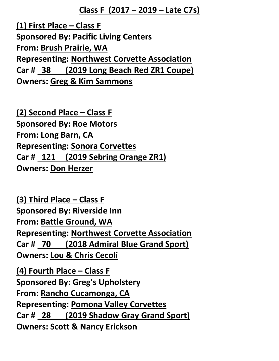**Class F (2017 – 2019 – Late C7s)**

**(1) First Place – Class F Sponsored By: Pacific Living Centers From: Brush Prairie, WA Representing: Northwest Corvette Association Car # 38 (2019 Long Beach Red ZR1 Coupe) Owners: Greg & Kim Sammons**

**(2) Second Place – Class F Sponsored By: Roe Motors From: Long Barn, CA Representing: Sonora Corvettes Car # 121 (2019 Sebring Orange ZR1) Owners: Don Herzer**

**(3) Third Place – Class F Sponsored By: Riverside Inn From: Battle Ground, WA Representing: Northwest Corvette Association Car # 70 (2018 Admiral Blue Grand Sport) Owners: Lou & Chris Cecoli**

**(4) Fourth Place – Class F Sponsored By: Greg's Upholstery From: Rancho Cucamonga, CA Representing: Pomona Valley Corvettes Car # 28 (2019 Shadow Gray Grand Sport) Owners: Scott & Nancy Erickson**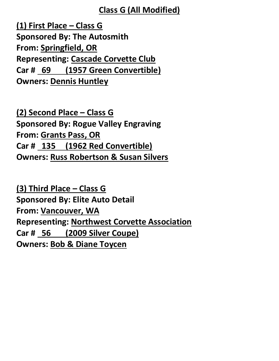### **Class G (All Modified)**

**(1) First Place – Class G Sponsored By: The Autosmith From: Springfield, OR Representing: Cascade Corvette Club Car # 69 (1957 Green Convertible) Owners: Dennis Huntley**

**(2) Second Place – Class G Sponsored By: Rogue Valley Engraving From: Grants Pass, OR Car # 135 (1962 Red Convertible) Owners: Russ Robertson & Susan Silvers**

**(3) Third Place – Class G Sponsored By: Elite Auto Detail From: Vancouver, WA Representing: Northwest Corvette Association Car # 56 (2009 Silver Coupe) Owners: Bob & Diane Toycen**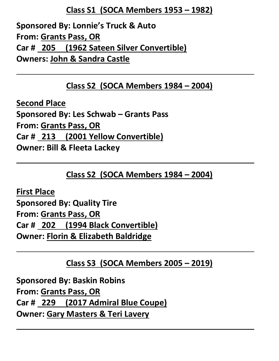### **Class S1 (SOCA Members 1953 – 1982)**

**Sponsored By: Lonnie's Truck & Auto From: Grants Pass, OR Car # 205 (1962 Sateen Silver Convertible) Owners: John & Sandra Castle**

### **Class S2 (SOCA Members 1984 – 2004)**

**Second Place Sponsored By: Les Schwab – Grants Pass From: Grants Pass, OR Car # 213 (2001 Yellow Convertible) Owner: Bill & Fleeta Lackey**

**Class S2 (SOCA Members 1984 – 2004)**

**First Place Sponsored By: Quality Tire From: Grants Pass, OR Car # 202 (1994 Black Convertible) Owner: Florin & Elizabeth Baldridge**

**Class S3 (SOCA Members 2005 – 2019)**

**Sponsored By: Baskin Robins From: Grants Pass, OR Car # 229 (2017 Admiral Blue Coupe) Owner: Gary Masters & Teri Lavery**